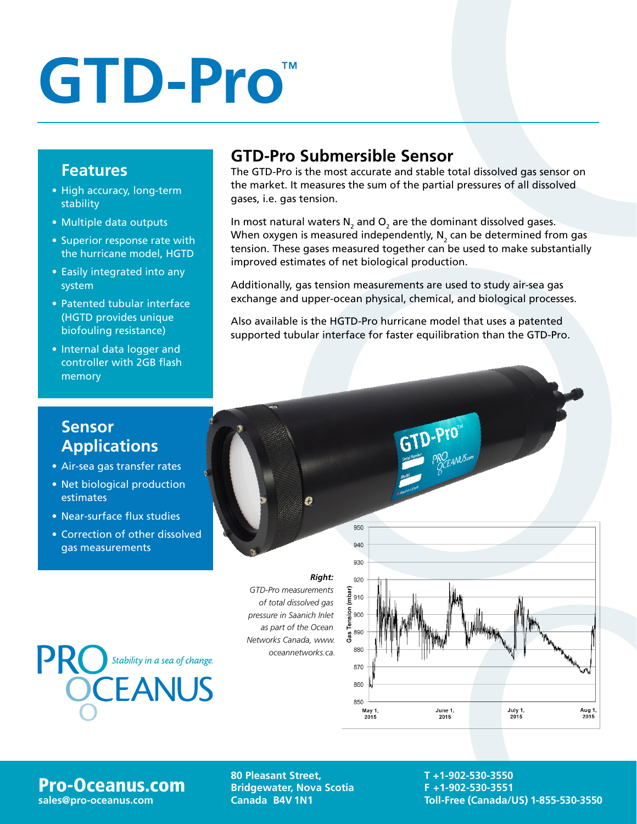## **GTD-Pro**™

#### **Features**

- High accuracy, long-term stability
- Multiple data outputs
- Superior response rate with the hurricane model, HGTD
- Easily integrated into any system
- Patented tubular interface (HGTD provides unique biofouling resistance)
- Internal data logger and controller with 2GB flash memory

### **GTD-Pro Submersible Sensor**

The GTD-Pro is the most accurate and stable total dissolved gas sensor on the market. It measures the sum of the partial pressures of all dissolved gases, i.e. gas tension.

In most natural waters N<sub>2</sub> and O<sub>2</sub> are the dominant dissolved gases. When oxygen is measured independently,  $\mathsf{N}_{_2}$  can be determined from gas tension. These gases measured together can be used to make substantially improved estimates of net biological production.

Additionally, gas tension measurements are used to study air-sea gas exchange and upper-ocean physical, chemical, and biological processes.

Also available is the HGTD-Pro hurricane model that uses a patented supported tubular interface for faster equilibration than the GTD-Pro.

#### **Sensor Applications**

- Air-sea gas transfer rates
- Net biological production estimates
- Near-surface flux studies
- Correction of other dissolved gas measurements



**PRO** Stability in a sea of change.

**Pro-Oceanus.com** 80 Pleasant Street,<br>
Stridgewater, Nova<br>
Sales@pro-oceanus.com Canada B4V 1N1 **Bridgewater, Nova Scotia Canada B4V 1N1**

Ô

**T +1-902-530-3550 F +1-902-530-3551 sales@pro-oceanus.com Toll-Free (Canada/US) 1-855-530-3550**